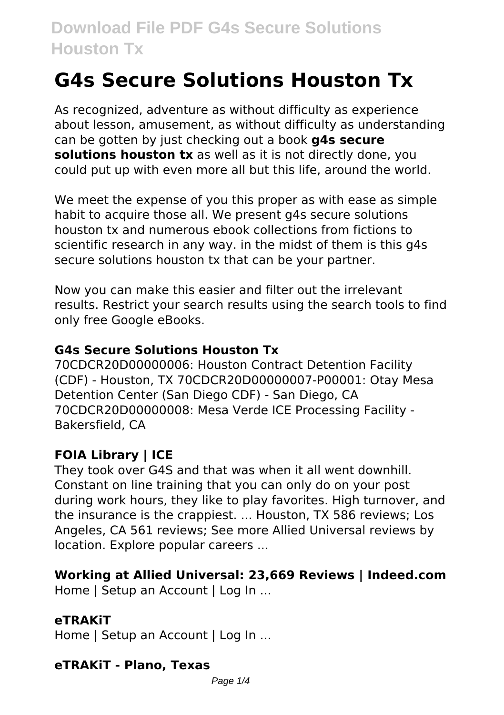# **G4s Secure Solutions Houston Tx**

As recognized, adventure as without difficulty as experience about lesson, amusement, as without difficulty as understanding can be gotten by just checking out a book **g4s secure solutions houston tx** as well as it is not directly done, you could put up with even more all but this life, around the world.

We meet the expense of you this proper as with ease as simple habit to acquire those all. We present g4s secure solutions houston tx and numerous ebook collections from fictions to scientific research in any way. in the midst of them is this g4s secure solutions houston tx that can be your partner.

Now you can make this easier and filter out the irrelevant results. Restrict your search results using the search tools to find only free Google eBooks.

#### **G4s Secure Solutions Houston Tx**

70CDCR20D00000006: Houston Contract Detention Facility (CDF) - Houston, TX 70CDCR20D00000007-P00001: Otay Mesa Detention Center (San Diego CDF) - San Diego, CA 70CDCR20D00000008: Mesa Verde ICE Processing Facility - Bakersfield, CA

## **FOIA Library | ICE**

They took over G4S and that was when it all went downhill. Constant on line training that you can only do on your post during work hours, they like to play favorites. High turnover, and the insurance is the crappiest. ... Houston, TX 586 reviews; Los Angeles, CA 561 reviews; See more Allied Universal reviews by location. Explore popular careers ...

#### **Working at Allied Universal: 23,669 Reviews | Indeed.com**

Home | Setup an Account | Log In ...

## **eTRAKiT**

Home | Setup an Account | Log In ...

## **eTRAKiT - Plano, Texas**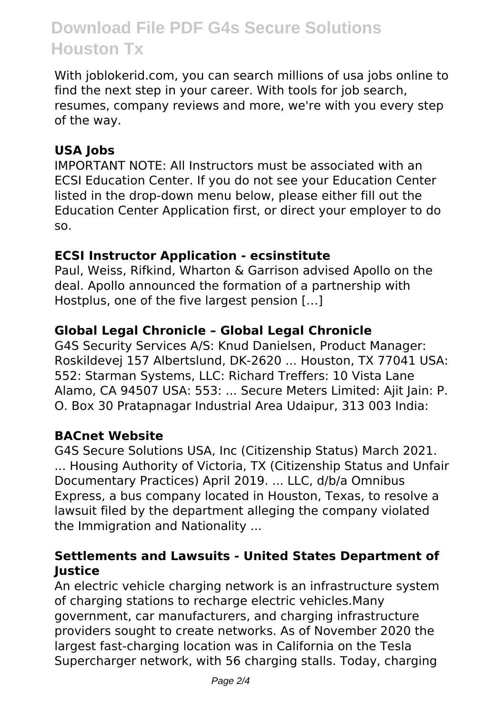# **Download File PDF G4s Secure Solutions Houston Tx**

With joblokerid.com, you can search millions of usa jobs online to find the next step in your career. With tools for job search, resumes, company reviews and more, we're with you every step of the way.

### **USA Jobs**

IMPORTANT NOTE: All Instructors must be associated with an ECSI Education Center. If you do not see your Education Center listed in the drop-down menu below, please either fill out the Education Center Application first, or direct your employer to do so.

#### **ECSI Instructor Application - ecsinstitute**

Paul, Weiss, Rifkind, Wharton & Garrison advised Apollo on the deal. Apollo announced the formation of a partnership with Hostplus, one of the five largest pension […]

#### **Global Legal Chronicle – Global Legal Chronicle**

G4S Security Services A/S: Knud Danielsen, Product Manager: Roskildevej 157 Albertslund, DK-2620 ... Houston, TX 77041 USA: 552: Starman Systems, LLC: Richard Treffers: 10 Vista Lane Alamo, CA 94507 USA: 553: ... Secure Meters Limited: Ajit Jain: P. O. Box 30 Pratapnagar Industrial Area Udaipur, 313 003 India:

#### **BACnet Website**

G4S Secure Solutions USA, Inc (Citizenship Status) March 2021. ... Housing Authority of Victoria, TX (Citizenship Status and Unfair Documentary Practices) April 2019. ... LLC, d/b/a Omnibus Express, a bus company located in Houston, Texas, to resolve a lawsuit filed by the department alleging the company violated the Immigration and Nationality ...

#### **Settlements and Lawsuits - United States Department of Justice**

An electric vehicle charging network is an infrastructure system of charging stations to recharge electric vehicles.Many government, car manufacturers, and charging infrastructure providers sought to create networks. As of November 2020 the largest fast-charging location was in California on the Tesla Supercharger network, with 56 charging stalls. Today, charging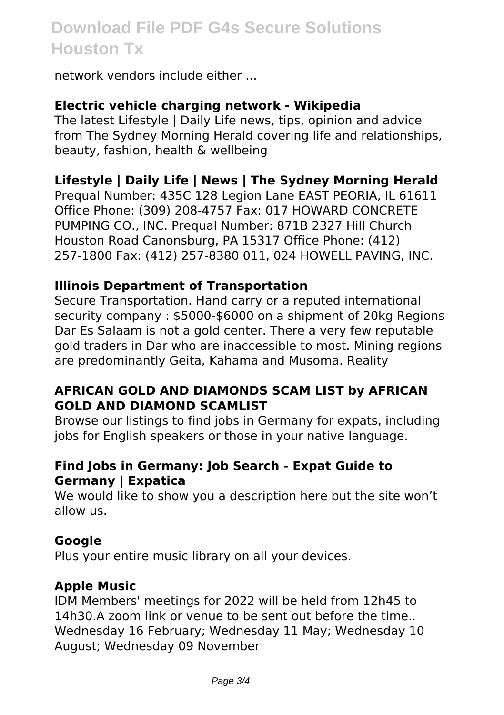# **Download File PDF G4s Secure Solutions Houston Tx**

network vendors include either ...

#### **Electric vehicle charging network - Wikipedia**

The latest Lifestyle | Daily Life news, tips, opinion and advice from The Sydney Morning Herald covering life and relationships, beauty, fashion, health & wellbeing

#### **Lifestyle | Daily Life | News | The Sydney Morning Herald**

Prequal Number: 435C 128 Legion Lane EAST PEORIA, IL 61611 Office Phone: (309) 208-4757 Fax: 017 HOWARD CONCRETE PUMPING CO., INC. Prequal Number: 871B 2327 Hill Church Houston Road Canonsburg, PA 15317 Office Phone: (412) 257-1800 Fax: (412) 257-8380 011, 024 HOWELL PAVING, INC.

#### **Illinois Department of Transportation**

Secure Transportation. Hand carry or a reputed international security company : \$5000-\$6000 on a shipment of 20kg Regions Dar Es Salaam is not a gold center. There a very few reputable gold traders in Dar who are inaccessible to most. Mining regions are predominantly Geita, Kahama and Musoma. Reality

#### **AFRICAN GOLD AND DIAMONDS SCAM LIST by AFRICAN GOLD AND DIAMOND SCAMLIST**

Browse our listings to find jobs in Germany for expats, including jobs for English speakers or those in your native language.

#### **Find Jobs in Germany: Job Search - Expat Guide to Germany | Expatica**

We would like to show you a description here but the site won't allow us.

#### **Google**

Plus your entire music library on all your devices.

#### **Apple Music**

IDM Members' meetings for 2022 will be held from 12h45 to 14h30.A zoom link or venue to be sent out before the time.. Wednesday 16 February; Wednesday 11 May; Wednesday 10 August; Wednesday 09 November